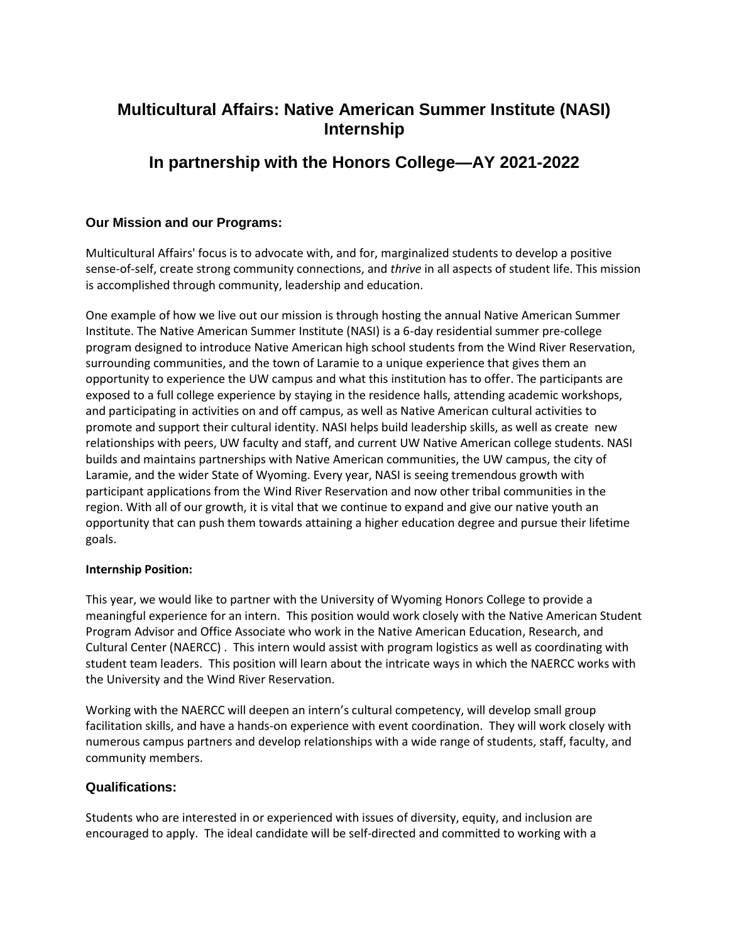# **Multicultural Affairs: Native American Summer Institute (NASI) Internship**

## **In partnership with the Honors College—AY 2021-2022**

### **Our Mission and our Programs:**

Multicultural Affairs' focus is to advocate with, and for, marginalized students to develop a positive sense-of-self, create strong community connections, and *thrive* in all aspects of student life. This mission is accomplished through community, leadership and education.

One example of how we live out our mission is through hosting the annual Native American Summer Institute. The Native American Summer Institute (NASI) is a 6-day residential summer pre-college program designed to introduce Native American high school students from the Wind River Reservation, surrounding communities, and the town of Laramie to a unique experience that gives them an opportunity to experience the UW campus and what this institution has to offer. The participants are exposed to a full college experience by staying in the residence halls, attending academic workshops, and participating in activities on and off campus, as well as Native American cultural activities to promote and support their cultural identity. NASI helps build leadership skills, as well as create new relationships with peers, UW faculty and staff, and current UW Native American college students. NASI builds and maintains partnerships with Native American communities, the UW campus, the city of Laramie, and the wider State of Wyoming. Every year, NASI is seeing tremendous growth with participant applications from the Wind River Reservation and now other tribal communities in the region. With all of our growth, it is vital that we continue to expand and give our native youth an opportunity that can push them towards attaining a higher education degree and pursue their lifetime goals.

#### **Internship Position:**

This year, we would like to partner with the University of Wyoming Honors College to provide a meaningful experience for an intern. This position would work closely with the Native American Student Program Advisor and Office Associate who work in the Native American Education, Research, and Cultural Center (NAERCC) . This intern would assist with program logistics as well as coordinating with student team leaders. This position will learn about the intricate ways in which the NAERCC works with the University and the Wind River Reservation.

Working with the NAERCC will deepen an intern's cultural competency, will develop small group facilitation skills, and have a hands-on experience with event coordination. They will work closely with numerous campus partners and develop relationships with a wide range of students, staff, faculty, and community members.

### **Qualifications:**

Students who are interested in or experienced with issues of diversity, equity, and inclusion are encouraged to apply. The ideal candidate will be self-directed and committed to working with a